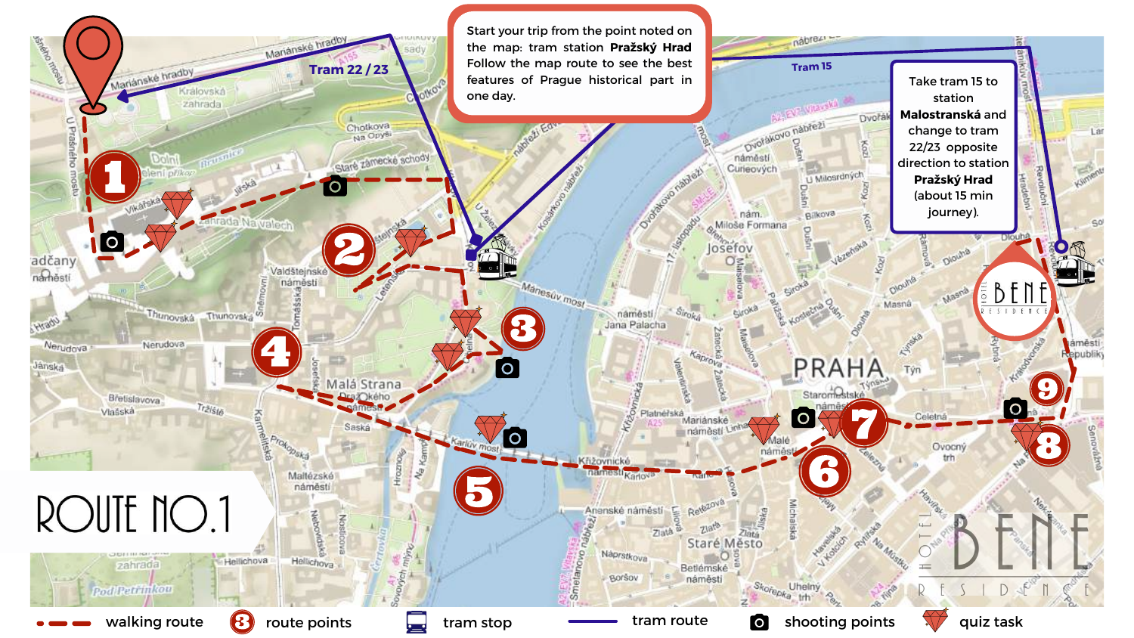Start your trip from the point noted on Manánské hradov **Change** the map: tram station **Pražský Hrad** Follow the map route to see the best **PERSONAL** Mariánské hradby **Tram 22 / 23**features of Prague historical part in WO **CALLED** one day. zahrada **Address Eq.** U Praśného Chotkova<br>Na Opyši Staré zámecké schody Orange of Boundary **Nawalect O** adčany namest Valdšteinsk namésti Mánesúv most náměstí Thunovská Thunovska<sup>6</sup> **Chrade** Jana Palacha Nerudova Nerudova  $\overline{O}$ Jänskal Malá Strana Bretislavova  $\tau_{l2l\hat{S}l\hat{S}}$ Vlašská Karne Platnerská Proko<sub>pska</sub> ižovnické Hrozn namesti<sub>Karlov</sub>  $\stackrel{\circ}{\approx}$ Mallézské náměstí ROUTE NO.1 Ananské náměstí nativez **Zlata** Náprstkova Hellichova Hellichova Smetano, zahrada Borsov Pod Retrinkon walking route  $\circled{B}$  route points  $\bulletled{I}$  tram stop tram route shooting points  $\circled{I}$  quiz task

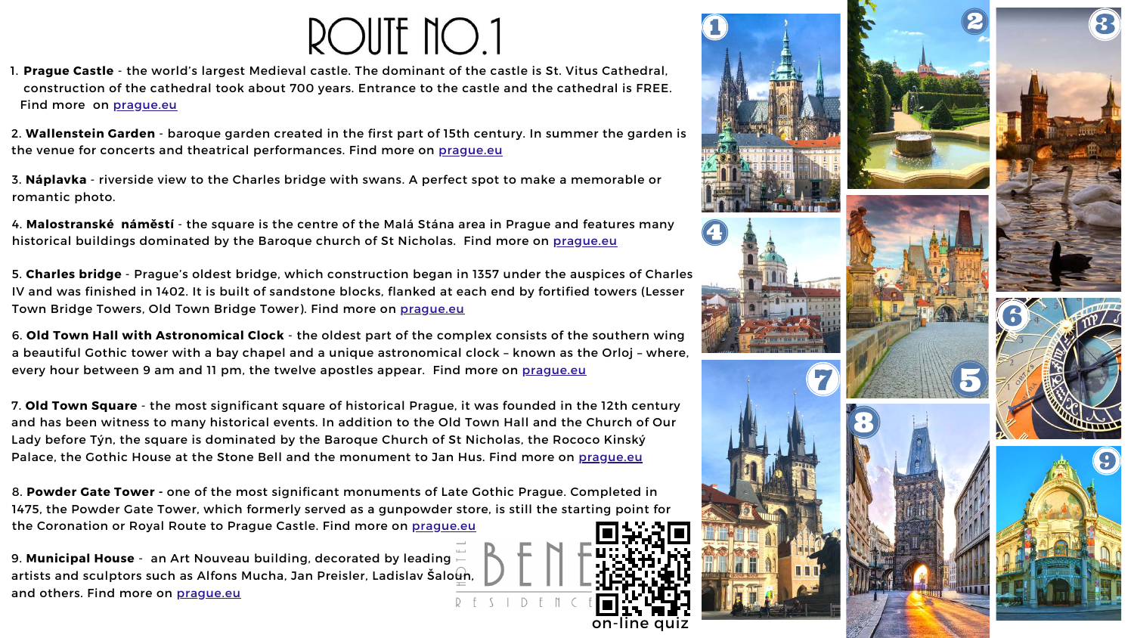## ROUTE NO.1

**Prague Castle** - the world's largest Medieval castle. The dominant of the castle is St. Vitus Cathedral, 1. construction of the cathedral took about 700 years. Entrance to the castle and the cathedral is FREE. Find more on [prague.eu](https://www.prague.eu/en/object/places/31/prague-castle-prazsky-hrad?back=1)

2. **Wallenstein Garden** - baroque garden created in the first part of 15th century. In summer the garden is the venue for concerts and theatrical performances. Find more on [prague.eu](https://www.prague.eu/en/object/places/526/wallenstein-garden-valdstejnska-zahrada?back=1)

4. **Malostranské náměstí** - the square is the centre of the Malá Stána area in Prague and features many historical buildings dominated by the Baroque church of St Nicholas. Find more on [prague.eu](https://www.prague.eu/en/object/places/2740/malostranske-square?back=1)

3. **Náplavka** - riverside view to the Charles bridge with swans. A perfect spot to make a memorable or romantic photo.

7. **Old Town Square** - the most significant square of historical Prague, it was founded in the 12th century and has been witness to many historical events. In addition to the Old Town Hall and the Church of Our Lady before Týn, the square is dominated by the Baroque Church of St Nicholas, the Rococo Kinský Palace, the Gothic House at the Stone Bell and the monument to Jan Hus. Find more on [prague.eu](https://www.prague.eu/en/object/places/183/old-town-square-staromestske-namesti?back=1)

8. **Powder Gate Tower -** one of the most significant monuments of Late Gothic Prague. Completed in 1475, the Powder Gate Tower, which formerly served as a gunpowder store, is still the starting point for the Coronation or Royal Route to Prague Castle. Find more on [prague.eu](https://www.prague.eu/en/object/places/102/powder-gate-tower-prasna-brana?back=1)

5. **Charles bridge** - Prague's oldest bridge, which construction began in 1357 under the auspices of Charles IV and was finished in 1402. It is built of sandstone blocks, flanked at each end by fortified towers (Lesser Town Bridge Towers, Old Town Bridge Tower). Find more on [prague.eu](https://www.prague.eu/en/object/places/93/charles-bridge-karluv-most?back=1)

9. **Municipal House** - an Art Nouveau building, decorated by leading artists and sculptors such as Alfons Mucha, Jan Preisler, Ladislav Šaloun, and others. Find more on praque.eu D F

6. **Old Town Hall with Astronomical Clock** - the oldest part of the complex consists of the southern wing a beautiful Gothic tower with a bay chapel and a unique astronomical clock – known as the Orloj – where, every hour between 9 am and 11 pm, the twelve apostles appear. Find more on [prague.eu](https://www.prague.eu/en/object/places/188/old-town-hall-with-astronomical-clock-staromestska-radnice-s-orlojem?back=1)